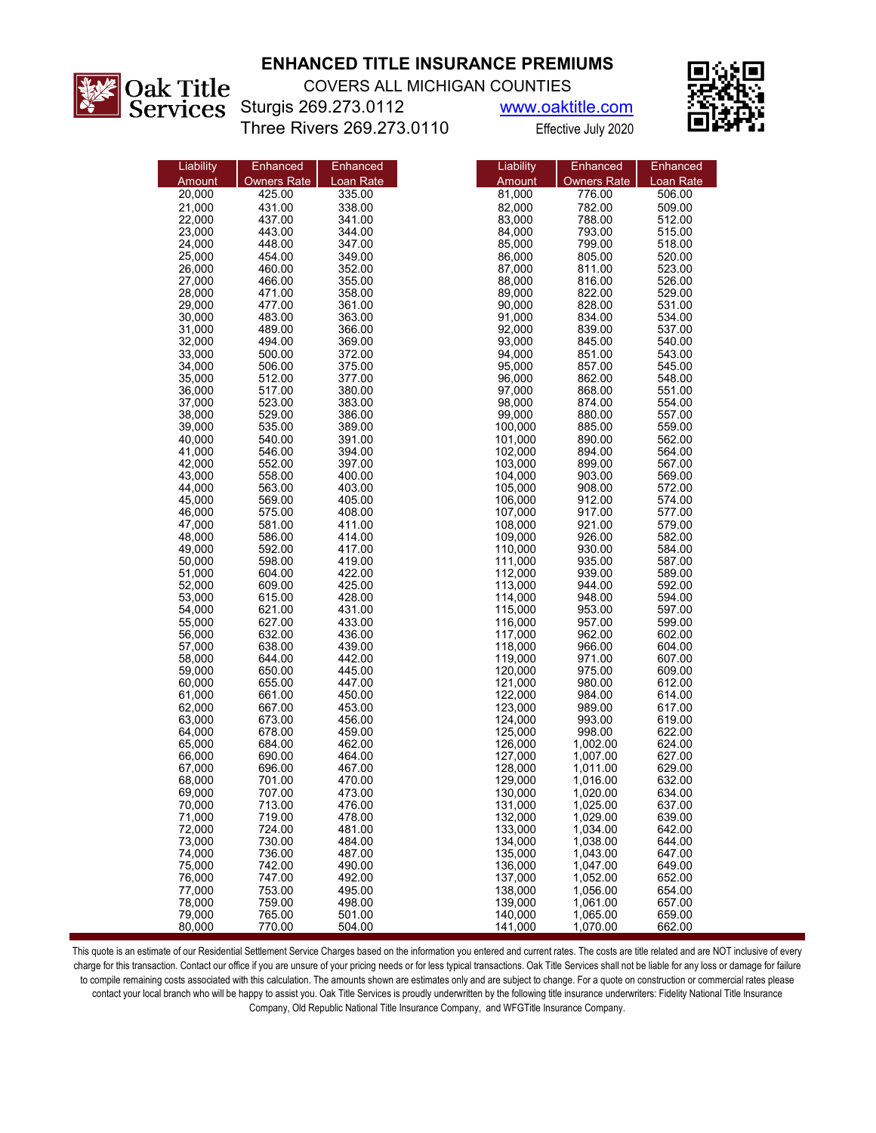

## **ENHANCED TITLE INSURANCE PREMIUMS**

COVERS ALL MICHIGAN COUNTIES

Sturgis 269.273.0112 www.oaktitle.com Three Rivers 269.273.0110 Effective July 2020



| Liability | Enhanced           | Enhanced  | Liability | Enhanced           |
|-----------|--------------------|-----------|-----------|--------------------|
| Amount    | <b>Owners Rate</b> | Loan Rate | Amount    | <b>Owners Rate</b> |
| 20,000    | 425.00             | 335.00    | 81,000    | 776.00             |
| 21,000    | 431.00             | 338.00    | 82,000    | 782.00             |
| 22,000    | 437.00             | 341.00    | 83,000    | 788.00             |
| 23,000    | 443.00             | 344.00    | 84,000    | 793.00             |
| 24,000    | 448.00             | 347.00    | 85,000    | 799.00             |
| 25.000    | 454.00             | 349.00    | 86,000    | 805.00             |
| 26,000    | 460.00             | 352.00    | 87,000    | 811.00             |
| 27,000    | 466.00             | 355.00    | 88,000    | 816.00             |
| 28,000    | 471.00             | 358.00    | 89,000    | 822.00             |
| 29.000    | 477.00             | 361.00    | 90,000    | 828.00             |
| 30,000    | 483.00             | 363.00    | 91,000    | 834.00             |
| 31,000    | 489.00             | 366.00    | 92,000    | 839.00             |
| 32,000    | 494.00             | 369.00    | 93,000    | 845.00             |
| 33,000    | 500.00             | 372.00    | 94,000    | 851.00             |
| 34,000    | 506.00             | 375.00    | 95,000    | 857.00             |
| 35,000    | 512.00             | 377.00    | 96,000    | 862.00             |
| 36,000    | 517.00             | 380.00    | 97,000    | 868.00             |
| 37,000    | 523.00             | 383.00    | 98,000    | 874.00             |
| 38,000    | 529.00             | 386.00    | 99,000    | 880.00             |
| 39,000    | 535.00             | 389.00    | 100,000   | 885.00             |
| 40,000    | 540.00             | 391.00    | 101,000   | 890.00             |
| 41,000    | 546.00             | 394.00    | 102,000   | 894.00             |
| 42,000    | 552.00             | 397.00    | 103,000   | 899.00             |
| 43,000    | 558.00             | 400.00    | 104,000   | 903.00             |
| 44.000    | 563.00             | 403.00    | 105,000   | 908.00             |
| 45,000    | 569.00             | 405.00    | 106,000   | 912.00             |
| 46,000    | 575.00             | 408.00    | 107,000   | 917.00             |
| 47.000    | 581.00             | 411.00    | 108,000   | 921.00             |
| 48.000    | 586.00             | 414.00    | 109,000   | 926.00             |
| 49.000    | 592.00             | 417.00    | 110,000   | 930.00             |
| 50,000    | 598.00             | 419.00    | 111,000   | 935.00             |
| 51,000    | 604.00             | 422.00    | 112,000   | 939.00             |
| 52,000    | 609.00             | 425.00    | 113,000   | 944.00             |
| 53,000    | 615.00             | 428.00    | 114,000   | 948.00             |
| 54,000    | 621.00             | 431.00    | 115,000   | 953.00             |
| 55,000    | 627.00             | 433.00    | 116,000   | 957.00             |
| 56,000    | 632.00             | 436.00    | 117,000   | 962.00             |
| 57,000    | 638.00             | 439.00    | 118,000   | 966.00             |
| 58,000    | 644.00             | 442.00    | 119,000   | 971.00             |
| 59,000    | 650.00             | 445.00    | 120,000   | 975.00             |
| 60,000    | 655.00             | 447.00    | 121,000   | 980.00             |
| 61,000    | 661.00             | 450.00    | 122,000   | 984.00             |
| 62,000    | 667.00             | 453.00    | 123,000   | 989.00             |
| 63,000    | 673.00             | 456.00    | 124,000   | 993.00             |
|           |                    | 459.00    | 125,000   | 998.00             |
| 64,000    | 678.00             | 462.00    |           |                    |
| 65,000    | 684.00             | 464.00    | 126,000   | 1,002.00           |
| 66,000    | 690.00             |           | 127,000   | 1,007.00           |
| 67.000    | 696.00             | 467.00    | 128.000   | 1,011.00           |
| 68,000    | 701.00             | 470.00    | 129,000   | 1,016.00           |
| 69,000    | 707.00             | 473.00    | 130,000   | 1,020.00           |
| 70,000    | 713.00             | 476.00    | 131,000   | 1,025.00           |
| 71,000    | 719.00             | 478.00    | 132,000   | 1,029.00           |
| 72,000    | 724.00             | 481.00    | 133,000   | 1,034.00           |
| 73,000    | 730.00             | 484.00    | 134,000   | 1,038.00           |
| 74,000    | 736.00             | 487.00    | 135,000   | 1,043.00           |
| 75,000    | 742.00             | 490.00    | 136,000   | 1.047.00           |
| 76,000    | 747.00             | 492.00    | 137,000   | 1,052.00           |
| 77,000    | 753.00             | 495.00    | 138,000   | 1,056.00           |
| 78,000    | 759.00             | 498.00    | 139,000   | 1,061.00           |
| 79,000    | 765.00             | 501.00    | 140,000   | 1,065.00           |
| 80,000    | 770.00             | 504.00    | 141,000   | 1,070.00           |

This quote is an estimate of our Residential Settlement Service Charges based on the information you entered and current rates. The costs are title related and are NOT inclusive of every charge for this transaction. Contact our office if you are unsure of your pricing needs or for less typical transactions. Oak Title Services shall not be liable for any loss or damage for failure to compile remaining costs associated with this calculation. The amounts shown are estimates only and are subject to change. For a quote on construction or commercial rates please contact your local branch who will be happy to assist you. Oak Title Services is proudly underwritten by the following title insurance underwriters: Fidelity National Title Insurance Company, Old Republic National Title Insurance Company, and WFGTitle Insurance Company.